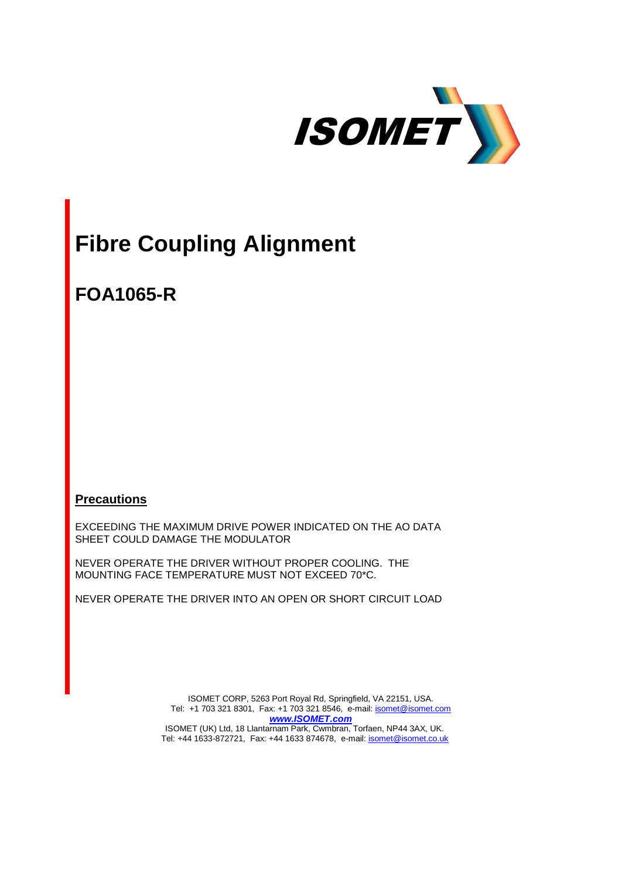

# **Fibre Coupling Alignment**

**FOA1065-R**

**Precautions**

EXCEEDING THE MAXIMUM DRIVE POWER INDICATED ON THE AO DATA SHEET COULD DAMAGE THE MODULATOR

NEVER OPERATE THE DRIVER WITHOUT PROPER COOLING. THE MOUNTING FACE TEMPERATURE MUST NOT EXCEED 70\*C.

NEVER OPERATE THE DRIVER INTO AN OPEN OR SHORT CIRCUIT LOAD

ISOMET CORP, 5263 Port Royal Rd, Springfield, VA 22151, USA. Tel: +1 703 321 8301, Fax: +1 703 321 8546, e-mail[: isomet@isomet.com](mailto:isomet@isomet.com) *[www.ISOMET.com](http://www.isomet.com/)* ISOMET (UK) Ltd, 18 Llantarnam Park, Cwmbran, Torfaen, NP44 3AX, UK. Tel: +44 1633-872721, Fax: +44 1633 874678, e-mail: [isomet@isomet.co.uk](mailto:isomet@isomet.co.uk)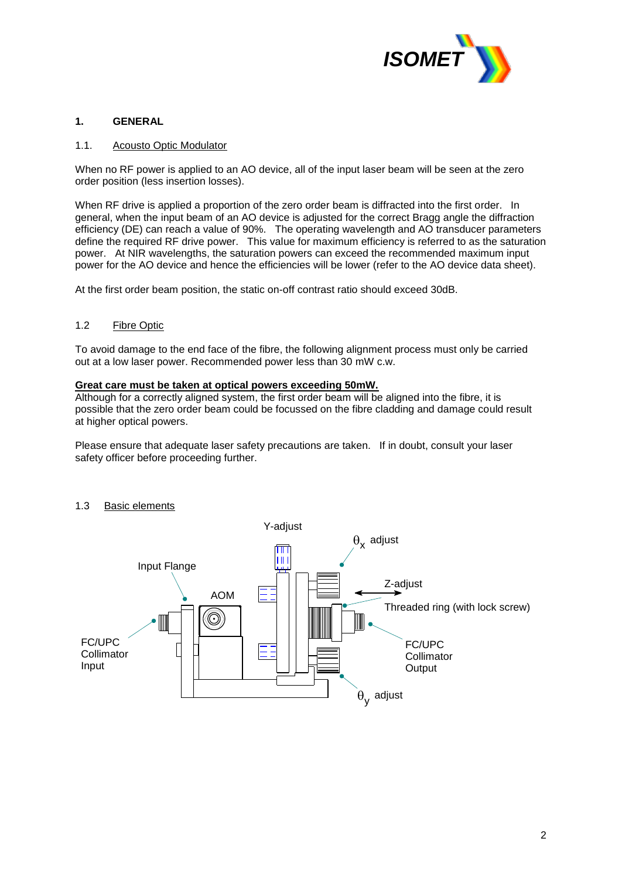

#### **1. GENERAL**

#### 1.1. Acousto Optic Modulator

When no RF power is applied to an AO device, all of the input laser beam will be seen at the zero order position (less insertion losses).

When RF drive is applied a proportion of the zero order beam is diffracted into the first order. In general, when the input beam of an AO device is adjusted for the correct Bragg angle the diffraction efficiency (DE) can reach a value of 90%. The operating wavelength and AO transducer parameters define the required RF drive power. This value for maximum efficiency is referred to as the saturation power. At NIR wavelengths, the saturation powers can exceed the recommended maximum input power for the AO device and hence the efficiencies will be lower (refer to the AO device data sheet).

At the first order beam position, the static on-off contrast ratio should exceed 30dB.

#### 1.2 Fibre Optic

To avoid damage to the end face of the fibre, the following alignment process must only be carried out at a low laser power. Recommended power less than 30 mW c.w.

#### **Great care must be taken at optical powers exceeding 50mW.**

Although for a correctly aligned system, the first order beam will be aligned into the fibre, it is possible that the zero order beam could be focussed on the fibre cladding and damage could result at higher optical powers.

Please ensure that adequate laser safety precautions are taken. If in doubt, consult your laser safety officer before proceeding further.

#### 1.3 Basic elements

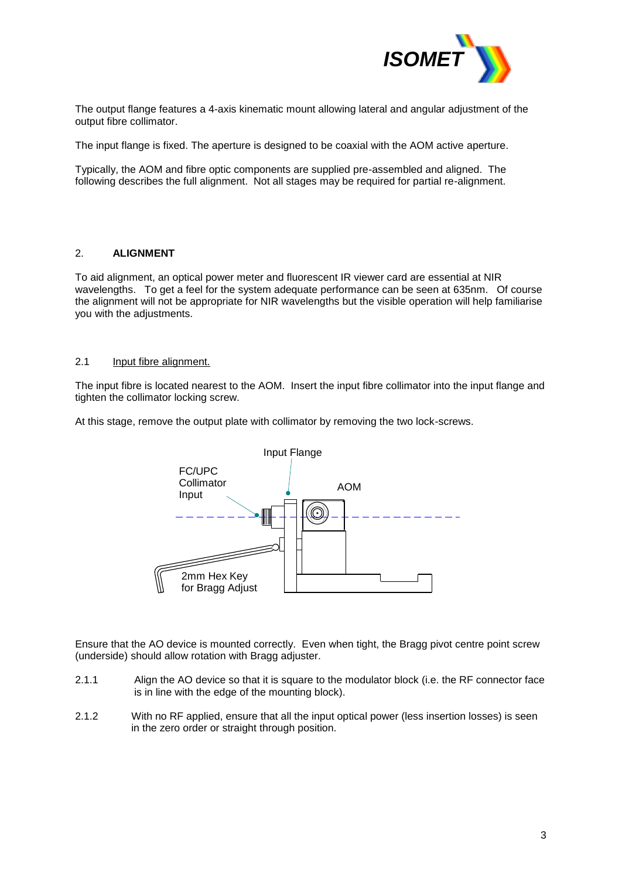

The output flange features a 4-axis kinematic mount allowing lateral and angular adjustment of the output fibre collimator.

The input flange is fixed. The aperture is designed to be coaxial with the AOM active aperture.

Typically, the AOM and fibre optic components are supplied pre-assembled and aligned. The following describes the full alignment. Not all stages may be required for partial re-alignment.

#### 2. **ALIGNMENT**

To aid alignment, an optical power meter and fluorescent IR viewer card are essential at NIR wavelengths. To get a feel for the system adequate performance can be seen at 635nm. Of course the alignment will not be appropriate for NIR wavelengths but the visible operation will help familiarise you with the adjustments.

#### 2.1 Input fibre alignment.

The input fibre is located nearest to the AOM. Insert the input fibre collimator into the input flange and tighten the collimator locking screw.

At this stage, remove the output plate with collimator by removing the two lock-screws.



Ensure that the AO device is mounted correctly. Even when tight, the Bragg pivot centre point screw (underside) should allow rotation with Bragg adjuster.

- 2.1.1 Align the AO device so that it is square to the modulator block (i.e. the RF connector face is in line with the edge of the mounting block).
- 2.1.2 With no RF applied, ensure that all the input optical power (less insertion losses) is seen in the zero order or straight through position.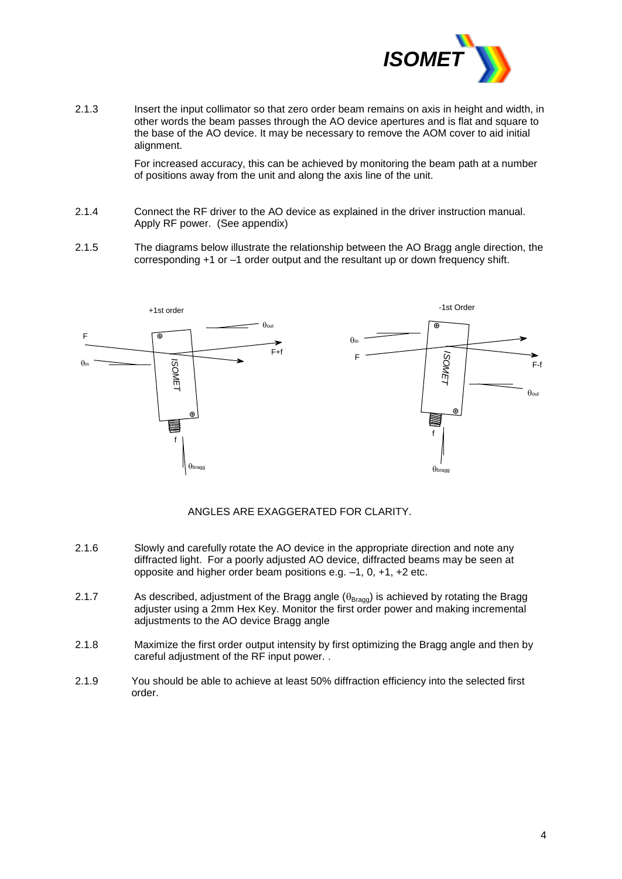

2.1.3 Insert the input collimator so that zero order beam remains on axis in height and width, in other words the beam passes through the AO device apertures and is flat and square to the base of the AO device. It may be necessary to remove the AOM cover to aid initial alignment.

> For increased accuracy, this can be achieved by monitoring the beam path at a number of positions away from the unit and along the axis line of the unit.

- 2.1.4 Connect the RF driver to the AO device as explained in the driver instruction manual. Apply RF power. (See appendix)
- 2.1.5 The diagrams below illustrate the relationship between the AO Bragg angle direction, the corresponding +1 or –1 order output and the resultant up or down frequency shift.



ANGLES ARE EXAGGERATED FOR CLARITY.

- 2.1.6 Slowly and carefully rotate the AO device in the appropriate direction and note any diffracted light. For a poorly adjusted AO device, diffracted beams may be seen at opposite and higher order beam positions e.g. –1, 0, +1, +2 etc.
- 2.1.7 As described, adjustment of the Bragg angle  $(\theta_{\text{Bragg}})$  is achieved by rotating the Bragg adjuster using a 2mm Hex Key. Monitor the first order power and making incremental adjustments to the AO device Bragg angle
- 2.1.8 Maximize the first order output intensity by first optimizing the Bragg angle and then by careful adjustment of the RF input power. .
- 2.1.9 You should be able to achieve at least 50% diffraction efficiency into the selected first order.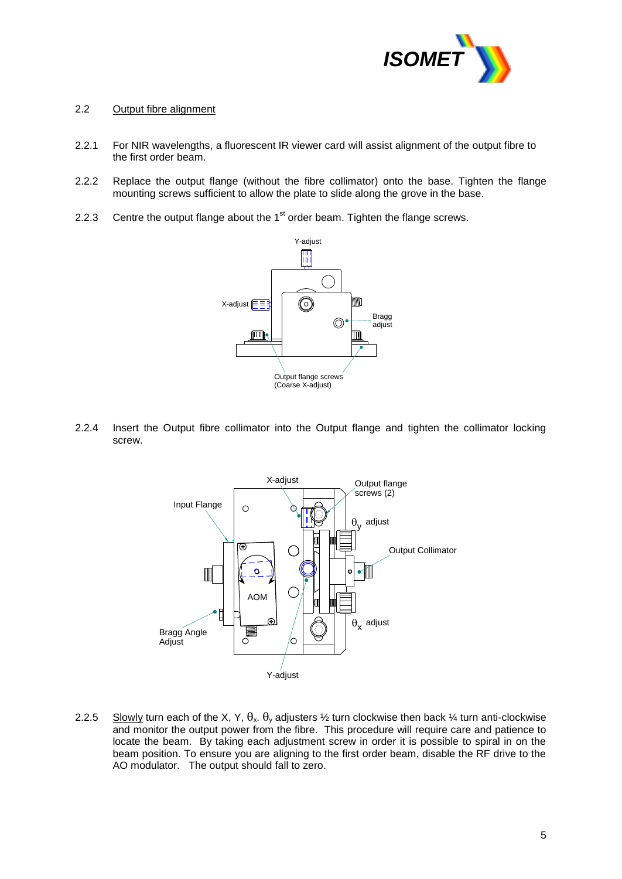

#### 2.2 Output fibre alignment

- 2.2.1 For NIR wavelengths, a fluorescent IR viewer card will assist alignment of the output fibre to the first order beam.
- 2.2.2 Replace the output flange (without the fibre collimator) onto the base. Tighten the flange mounting screws sufficient to allow the plate to slide along the grove in the base.
- 2.2.3 Centre the output flange about the  $1<sup>st</sup>$  order beam. Tighten the flange screws.



2.2.4 Insert the Output fibre collimator into the Output flange and tighten the collimator locking screw.



2.2.5 Slowly turn each of the X, Y,  $\theta_x$ .  $\theta_y$  adjusters  $\frac{1}{2}$  turn clockwise then back  $\frac{1}{4}$  turn anti-clockwise and monitor the output power from the fibre. This procedure will require care and patience to locate the beam. By taking each adjustment screw in order it is possible to spiral in on the beam position. To ensure you are aligning to the first order beam, disable the RF drive to the AO modulator. The output should fall to zero.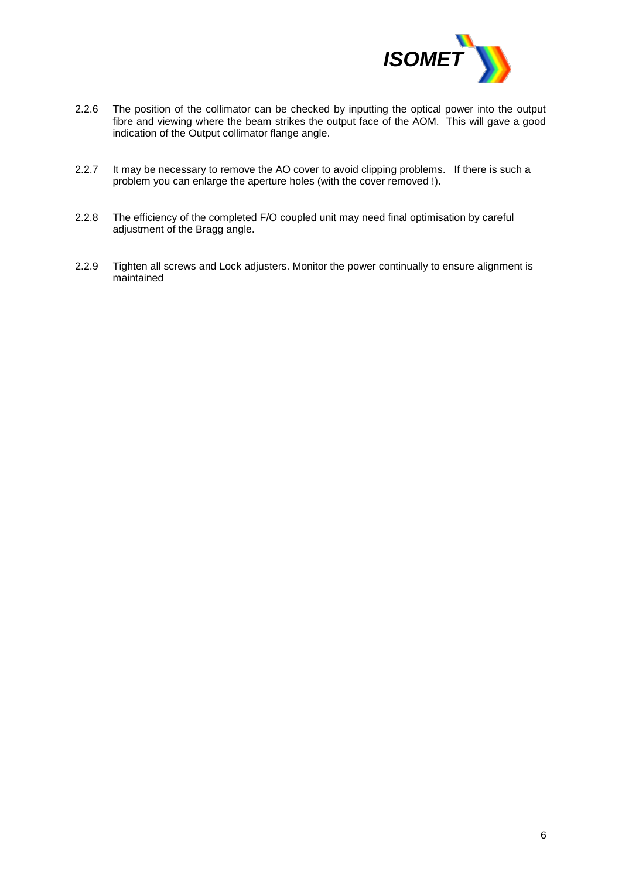

- 2.2.6 The position of the collimator can be checked by inputting the optical power into the output fibre and viewing where the beam strikes the output face of the AOM. This will gave a good indication of the Output collimator flange angle.
- 2.2.7 It may be necessary to remove the AO cover to avoid clipping problems. If there is such a problem you can enlarge the aperture holes (with the cover removed !).
- 2.2.8 The efficiency of the completed F/O coupled unit may need final optimisation by careful adjustment of the Bragg angle.
- 2.2.9 Tighten all screws and Lock adjusters. Monitor the power continually to ensure alignment is maintained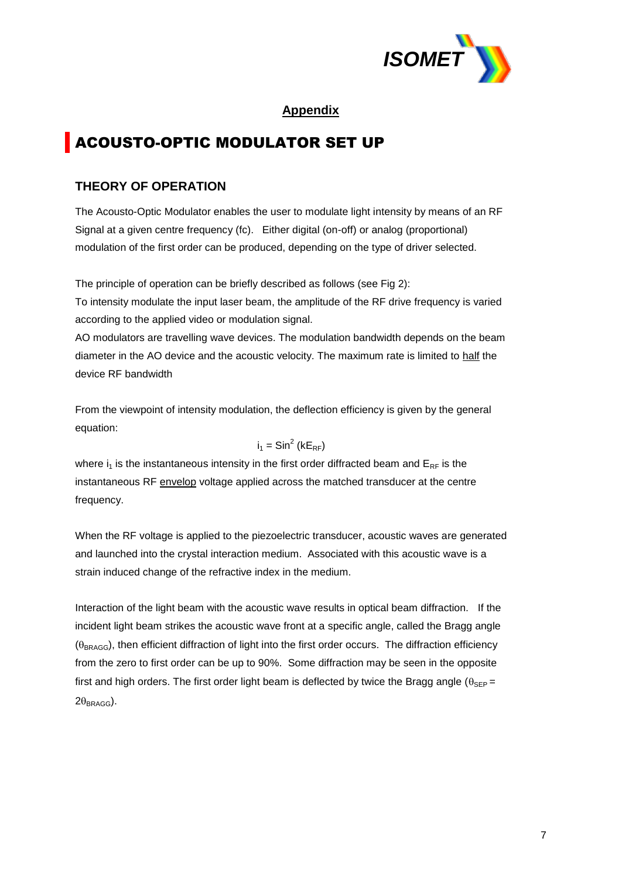

### **Appendix**

# ACOUSTO-OPTIC MODULATOR SET UP

# **THEORY OF OPERATION**

The Acousto-Optic Modulator enables the user to modulate light intensity by means of an RF Signal at a given centre frequency (fc). Either digital (on-off) or analog (proportional) modulation of the first order can be produced, depending on the type of driver selected.

The principle of operation can be briefly described as follows (see Fig 2):

To intensity modulate the input laser beam, the amplitude of the RF drive frequency is varied according to the applied video or modulation signal.

AO modulators are travelling wave devices. The modulation bandwidth depends on the beam diameter in the AO device and the acoustic velocity. The maximum rate is limited to half the device RF bandwidth

From the viewpoint of intensity modulation, the deflection efficiency is given by the general equation:

$$
i_1 = \text{Sin}^2 \left( k E_{RF} \right)
$$

where  $i_1$  is the instantaneous intensity in the first order diffracted beam and  $E_{RF}$  is the instantaneous RF envelop voltage applied across the matched transducer at the centre frequency.

When the RF voltage is applied to the piezoelectric transducer, acoustic waves are generated and launched into the crystal interaction medium. Associated with this acoustic wave is a strain induced change of the refractive index in the medium.

Interaction of the light beam with the acoustic wave results in optical beam diffraction. If the incident light beam strikes the acoustic wave front at a specific angle, called the Bragg angle  $(\theta_{\text{BRAGG}})$ , then efficient diffraction of light into the first order occurs. The diffraction efficiency from the zero to first order can be up to 90%. Some diffraction may be seen in the opposite first and high orders. The first order light beam is deflected by twice the Bragg angle ( $\theta_{\rm SFP}$  =  $2\theta_{BRAGG}$ ).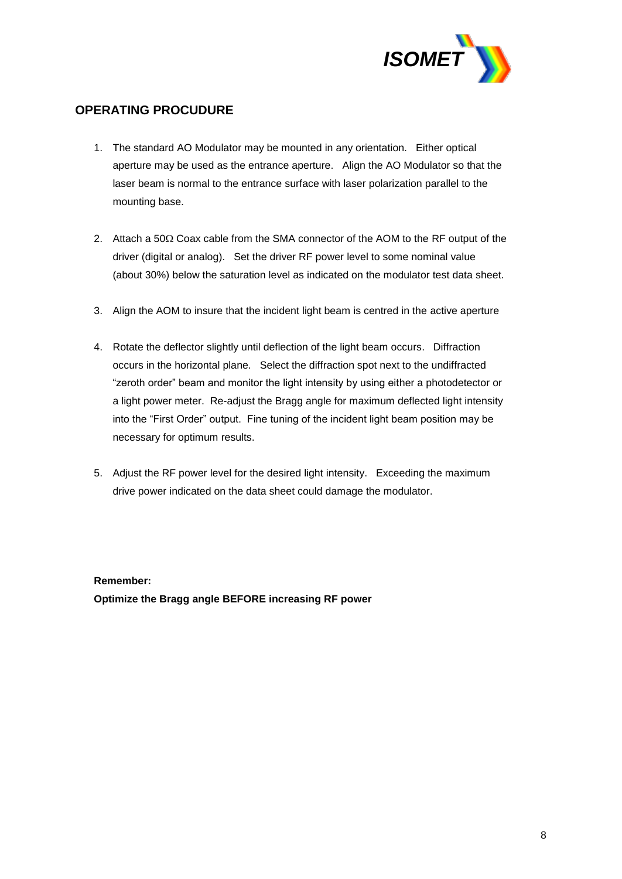

# **OPERATING PROCUDURE**

- 1. The standard AO Modulator may be mounted in any orientation. Either optical aperture may be used as the entrance aperture. Align the AO Modulator so that the laser beam is normal to the entrance surface with laser polarization parallel to the mounting base.
- 2. Attach a 50 $\Omega$  Coax cable from the SMA connector of the AOM to the RF output of the driver (digital or analog). Set the driver RF power level to some nominal value (about 30%) below the saturation level as indicated on the modulator test data sheet.
- 3. Align the AOM to insure that the incident light beam is centred in the active aperture
- 4. Rotate the deflector slightly until deflection of the light beam occurs. Diffraction occurs in the horizontal plane. Select the diffraction spot next to the undiffracted "zeroth order" beam and monitor the light intensity by using either a photodetector or a light power meter. Re-adjust the Bragg angle for maximum deflected light intensity into the "First Order" output. Fine tuning of the incident light beam position may be necessary for optimum results.
- 5. Adjust the RF power level for the desired light intensity. Exceeding the maximum drive power indicated on the data sheet could damage the modulator.

#### **Remember:**

**Optimize the Bragg angle BEFORE increasing RF power**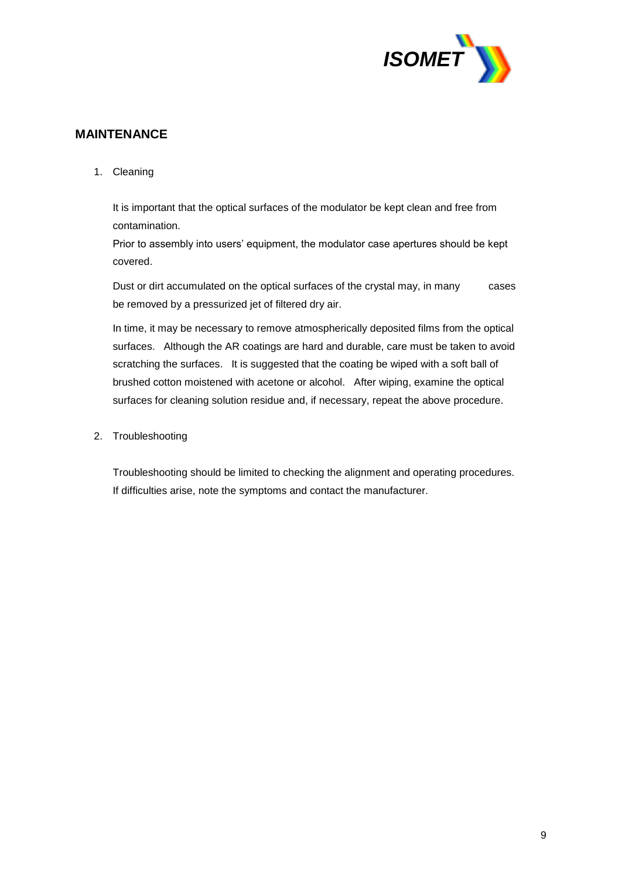

## **MAINTENANCE**

1. Cleaning

It is important that the optical surfaces of the modulator be kept clean and free from contamination.

Prior to assembly into users' equipment, the modulator case apertures should be kept covered.

Dust or dirt accumulated on the optical surfaces of the crystal may, in many cases be removed by a pressurized jet of filtered dry air.

In time, it may be necessary to remove atmospherically deposited films from the optical surfaces. Although the AR coatings are hard and durable, care must be taken to avoid scratching the surfaces. It is suggested that the coating be wiped with a soft ball of brushed cotton moistened with acetone or alcohol. After wiping, examine the optical surfaces for cleaning solution residue and, if necessary, repeat the above procedure.

2. Troubleshooting

Troubleshooting should be limited to checking the alignment and operating procedures. If difficulties arise, note the symptoms and contact the manufacturer.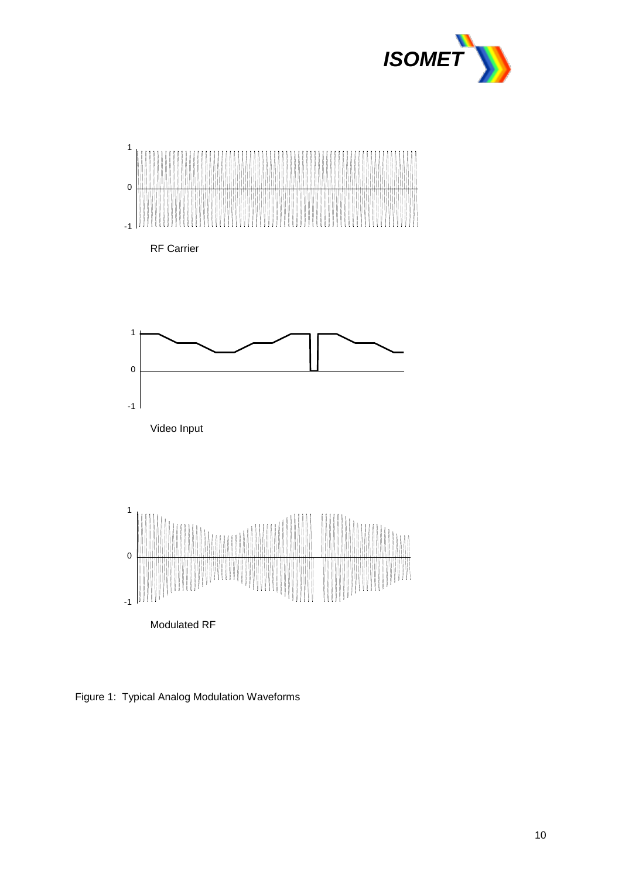



Figure 1: Typical Analog Modulation Waveforms